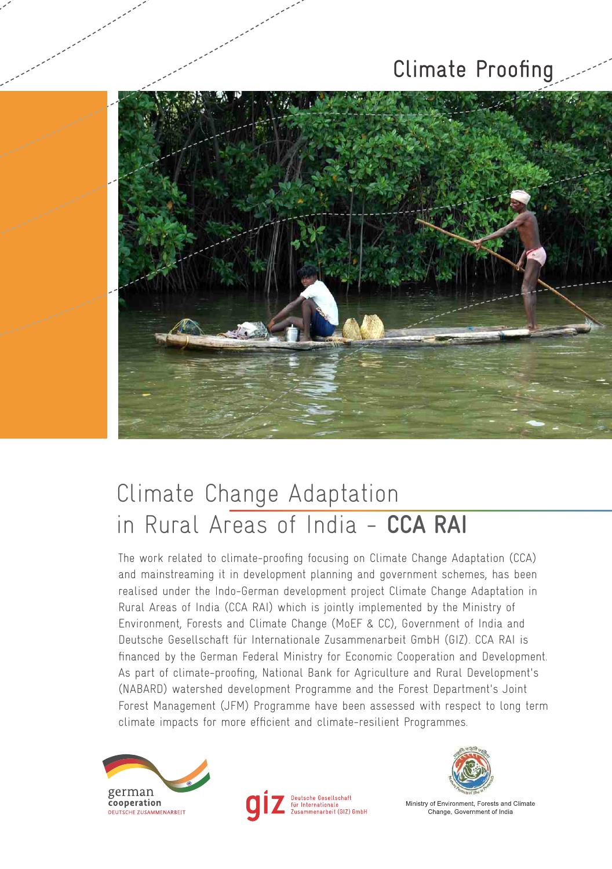# Climate Proofing



# Climate Change Adaptation in Rural Areas of India - **CCA RAI**

The work related to climate-proofing focusing on Climate Change Adaptation (CCA) and mainstreaming it in development planning and government schemes, has been realised under the Indo-German development project Climate Change Adaptation in Rural Areas of India (CCA RAI) which is jointly implemented by the Ministry of Environment, Forests and Climate Change (MoEF & CC), Government of India and Deutsche Gesellschaft für Internationale Zusammenarbeit GmbH (GIZ). CCA RAI is financed by the German Federal Ministry for Economic Cooperation and Development. As part of climate-proofing, National Bank for Agriculture and Rural Development's (NABARD) watershed development Programme and the Forest Department's Joint Forest Management (JFM) Programme have been assessed with respect to long term climate impacts for more efficient and climate-resilient Programmes.







Ministry of Environment, Forests and Climate Change, Government of India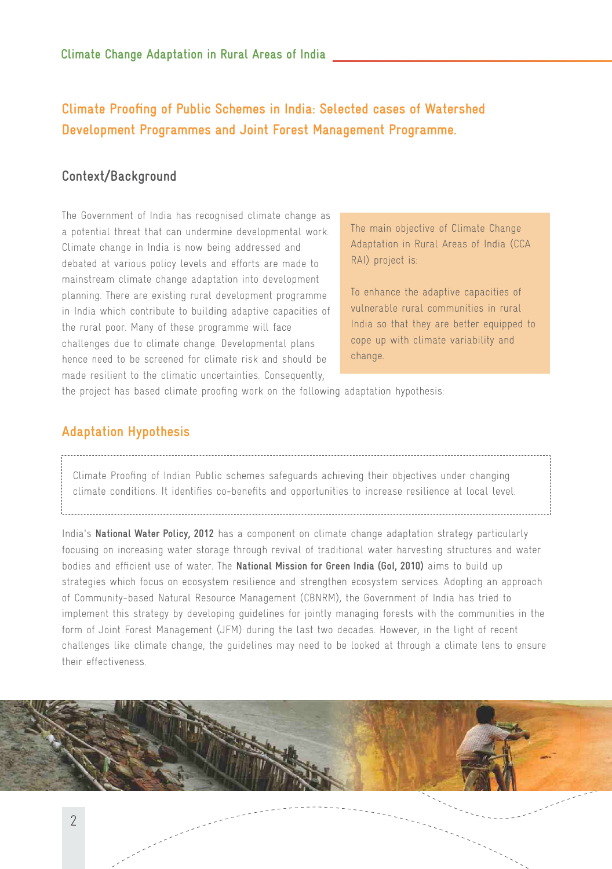## **Climate Proofing of Public Schemes in India: Selected cases of Watershed Development Programmes and Joint Forest Management Programme.**

### **Context/Background**

The Government of India has recognised climate change as a potential threat that can undermine developmental work. Climate change in India is now being addressed and debated at various policy levels and efforts are made to mainstream climate change adaptation into development planning. There are existing rural development programme in India which contribute to building adaptive capacities of the rural poor. Many of these programme will face challenges due to climate change. Developmental plans hence need to be screened for climate risk and should be made resilient to the climatic uncertainties. Consequently,

The main objective of Climate Change Adaptation in Rural Areas of India (CCA RAI) project is:

To enhance the adaptive capacities of vulnerable rural communities in rural India so that they are better equipped to cope up with climate variability and change.

the project has based climate proofing work on the following adaptation hypothesis:

### **Adaptation Hypothesis**

### Climate Proofing of Indian Public schemes safeguards achieving their objectives under changing climate conditions. It identifies co-benefits and opportunities to increase resilience at local level.

India's **National Water Policy, 2012** has a component on climate change adaptation strategy particularly focusing on increasing water storage through revival of traditional water harvesting structures and water bodies and efficient use of water. The **National Mission for Green India (GoI, 2010)** aims to build up strategies which focus on ecosystem resilience and strengthen ecosystem services. Adopting an approach of Community-based Natural Resource Management (CBNRM), the Government of India has tried to implement this strategy by developing guidelines for jointly managing forests with the communities in the form of Joint Forest Management (JFM) during the last two decades. However, in the light of recent challenges like climate change, the guidelines may need to be looked at through a climate lens to ensure their effectiveness.

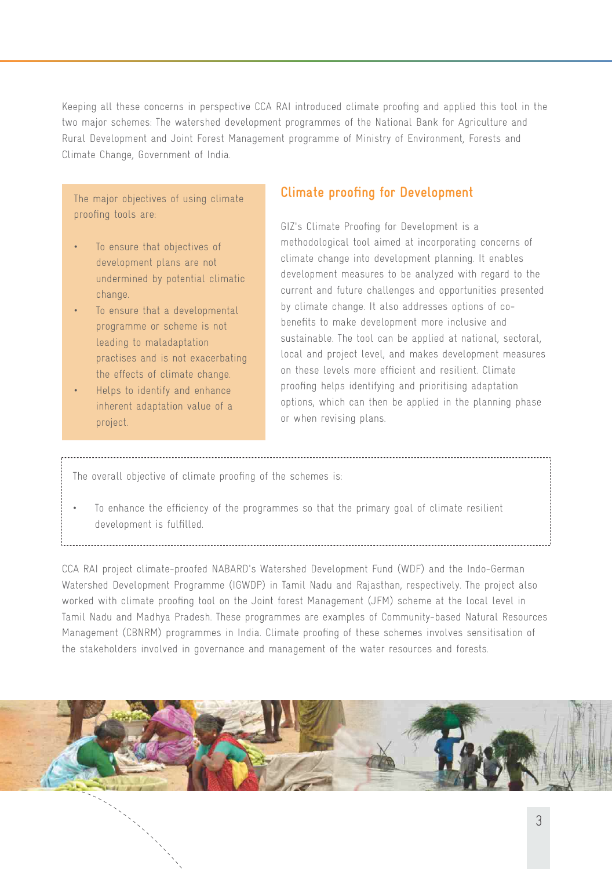Keeping all these concerns in perspective CCA RAI introduced climate proofing and applied this tool in the two major schemes: The watershed development programmes of the National Bank for Agriculture and Rural Development and Joint Forest Management programme of Ministry of Environment, Forests and Climate Change, Government of India.

The major objectives of using climate proofing tools are:

- To ensure that objectives of development plans are not undermined by potential climatic change.
- To ensure that a developmental programme or scheme is not leading to maladaptation practises and is not exacerbating the effects of climate change.
- Helps to identify and enhance inherent adaptation value of a project.

### **Climate proofing for Development**

GIZ's Climate Proofing for Development is a methodological tool aimed at incorporating concerns of climate change into development planning. It enables development measures to be analyzed with regard to the current and future challenges and opportunities presented by climate change. It also addresses options of cobenefits to make development more inclusive and sustainable. The tool can be applied at national, sectoral, local and project level, and makes development measures on these levels more efficient and resilient. Climate proofing helps identifying and prioritising adaptation options, which can then be applied in the planning phase or when revising plans.

The overall objective of climate proofing of the schemes is:

• To enhance the efficiency of the programmes so that the primary goal of climate resilient development is fulfilled.

CCA RAI project climate-proofed NABARD's Watershed Development Fund (WDF) and the Indo-German Watershed Development Programme (IGWDP) in Tamil Nadu and Rajasthan, respectively. The project also worked with climate proofing tool on the Joint forest Management (JFM) scheme at the local level in Tamil Nadu and Madhya Pradesh. These programmes are examples of Community-based Natural Resources Management (CBNRM) programmes in India. Climate proofing of these schemes involves sensitisation of the stakeholders involved in governance and management of the water resources and forests.

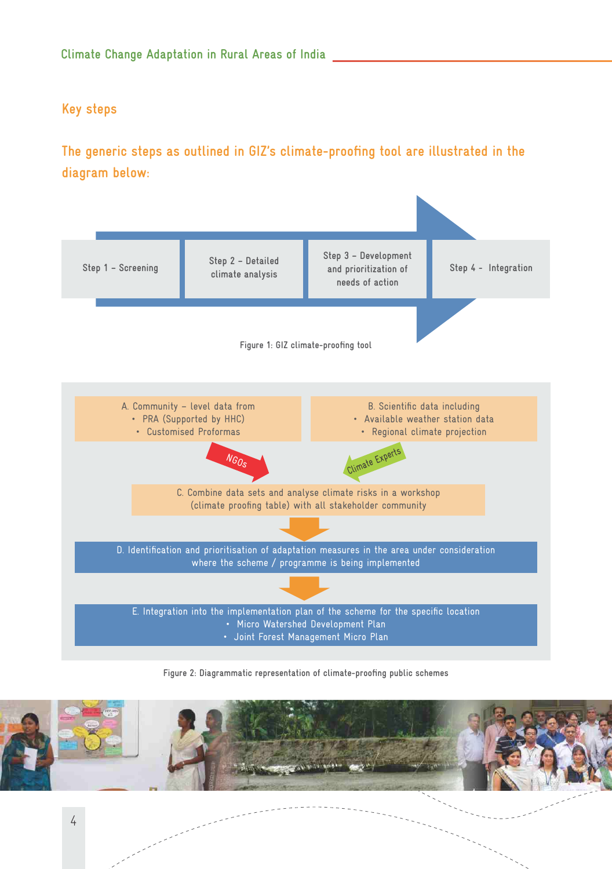### **Key steps**

## **The generic steps as outlined in GIZ's climate-proofing tool are illustrated in the diagram below:**



**Figure 2: Diagrammatic representation of climate-proofing public schemes**

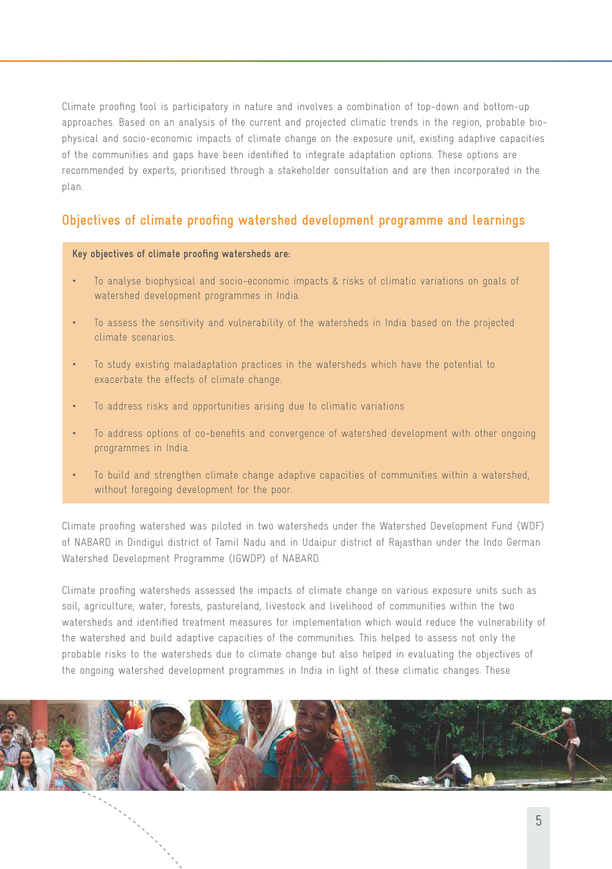Climate proofing tool is participatory in nature and involves a combination of top-down and bottom-up approaches. Based on an analysis of the current and projected climatic trends in the region, probable biophysical and socio-economic impacts of climate change on the exposure unit, existing adaptive capacities of the communities and gaps have been identified to integrate adaptation options. These options are recommended by experts, prioritised through a stakeholder consultation and are then incorporated in the plan.

### **Objectives of climate proofing watershed development programme and learnings**

#### **Key objectives of climate proofing watersheds are:**

- To analyse biophysical and socio-economic impacts & risks of climatic variations on goals of watershed development programmes in India.
- To assess the sensitivity and vulnerability of the watersheds in India based on the projected climate scenarios.
- To study existing maladaptation practices in the watersheds which have the potential to exacerbate the effects of climate change.
- To address risks and opportunities arising due to climatic variations
- To address options of co-benefits and convergence of watershed development with other ongoing programmes in India.
- To build and strengthen climate change adaptive capacities of communities within a watershed, without foregoing development for the poor.

Climate proofing watershed was piloted in two watersheds under the Watershed Development Fund (WDF) of NABARD in Dindigul district of Tamil Nadu and in Udaipur district of Rajasthan under the Indo German Watershed Development Programme (IGWDP) of NABARD.

Climate proofing watersheds assessed the impacts of climate change on various exposure units such as soil, agriculture, water, forests, pastureland, livestock and livelihood of communities within the two watersheds and identified treatment measures for implementation which would reduce the vulnerability of the watershed and build adaptive capacities of the communities. This helped to assess not only the probable risks to the watersheds due to climate change but also helped in evaluating the objectives of the ongoing watershed development programmes in India in light of these climatic changes. These

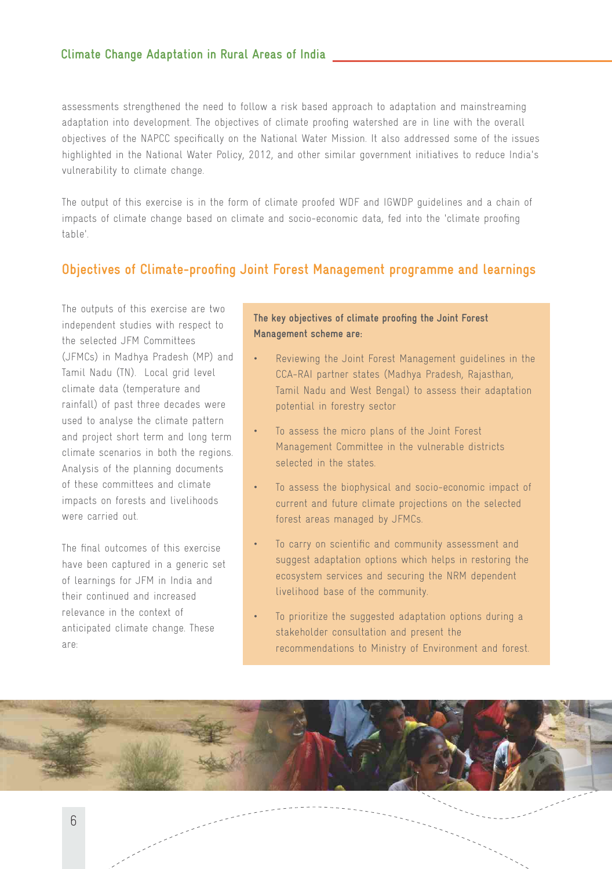assessments strengthened the need to follow a risk based approach to adaptation and mainstreaming adaptation into development. The objectives of climate proofing watershed are in line with the overall objectives of the NAPCC specifically on the National Water Mission. It also addressed some of the issues highlighted in the National Water Policy, 2012, and other similar government initiatives to reduce India's vulnerability to climate change.

The output of this exercise is in the form of climate proofed WDF and IGWDP guidelines and a chain of impacts of climate change based on climate and socio-economic data, fed into the 'climate proofing table'.

### **Objectives of Climate-proofing Joint Forest Management programme and learnings**

The outputs of this exercise are two independent studies with respect to the selected JFM Committees (JFMCs) in Madhya Pradesh (MP) and Tamil Nadu (TN). Local grid level climate data (temperature and rainfall) of past three decades were used to analyse the climate pattern and project short term and long term climate scenarios in both the regions. Analysis of the planning documents of these committees and climate impacts on forests and livelihoods were carried out.

The final outcomes of this exercise have been captured in a generic set of learnings for JFM in India and their continued and increased relevance in the context of anticipated climate change. These are:

### **The key objectives of climate proofing the Joint Forest Management scheme are:**

- Reviewing the Joint Forest Management guidelines in the CCA-RAI partner states (Madhya Pradesh, Rajasthan, Tamil Nadu and West Bengal) to assess their adaptation potential in forestry sector
- To assess the micro plans of the Joint Forest Management Committee in the vulnerable districts selected in the states.
- To assess the biophysical and socio-economic impact of current and future climate projections on the selected forest areas managed by JFMCs.
- To carry on scientific and community assessment and suggest adaptation options which helps in restoring the ecosystem services and securing the NRM dependent livelihood base of the community.
- To prioritize the suggested adaptation options during a stakeholder consultation and present the recommendations to Ministry of Environment and forest.

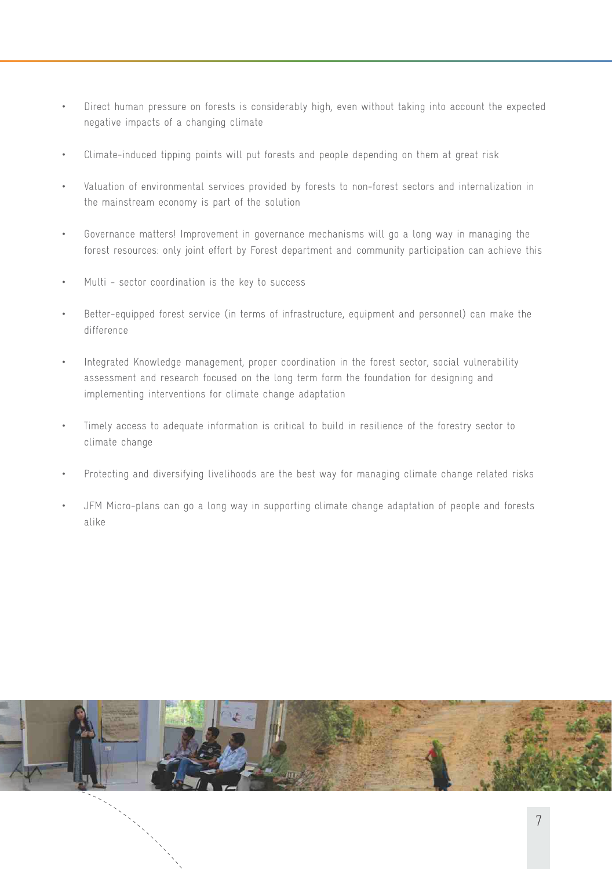- Direct human pressure on forests is considerably high, even without taking into account the expected negative impacts of a changing climate
- Climate-induced tipping points will put forests and people depending on them at great risk
- Valuation of environmental services provided by forests to non-forest sectors and internalization in the mainstream economy is part of the solution
- Governance matters! Improvement in governance mechanisms will go a long way in managing the forest resources: only joint effort by Forest department and community participation can achieve this
- Multi sector coordination is the key to success
- Better-equipped forest service (in terms of infrastructure, equipment and personnel) can make the difference
- Integrated Knowledge management, proper coordination in the forest sector, social vulnerability assessment and research focused on the long term form the foundation for designing and implementing interventions for climate change adaptation
- Timely access to adequate information is critical to build in resilience of the forestry sector to climate change
- Protecting and diversifying livelihoods are the best way for managing climate change related risks
- JFM Micro-plans can go a long way in supporting climate change adaptation of people and forests alike